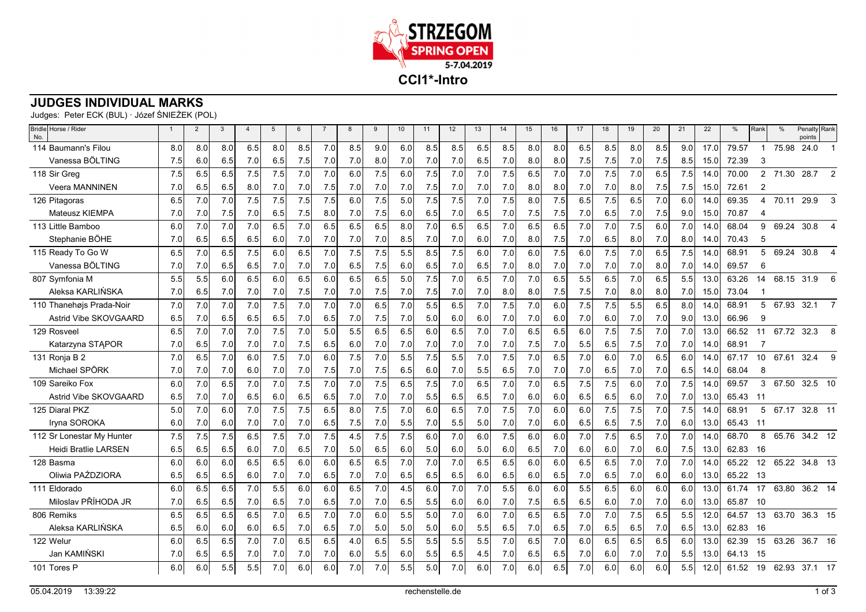

## **JUDGES INDIVIDUAL MARKS**

Judges: Peter ECK (BUL) · Józef ŚNIEŻEK (POL)

| Bridle Horse / Rider<br>No. |     | $\overline{2}$ | 3   | $\overline{4}$ | 5   | 6   | $\overline{7}$ | 8   | 9   | 10  | 11  | 12  | 13               | 14  | 15  | 16  | 17  | 18  | 19  | 20  | 21  | 22   | %     | Rank           | $\frac{0}{0}$ | Penalty<br>points | Rank         |
|-----------------------------|-----|----------------|-----|----------------|-----|-----|----------------|-----|-----|-----|-----|-----|------------------|-----|-----|-----|-----|-----|-----|-----|-----|------|-------|----------------|---------------|-------------------|--------------|
| 114 Baumann's Filou         | 8.0 | 8.0            | 8.0 | 6.5            | 8.0 | 8.5 | 7.0            | 8.5 | 9.0 | 6.0 | 8.5 | 8.5 | 6.5              | 8.5 | 8.0 | 8.0 | 6.5 | 8.5 | 8.0 | 8.5 | 9.0 | 17.0 | 79.57 |                | 75.98         | 24.0              |              |
| Vanessa BÖLTING             | 7.5 | 6.0            | 6.5 | 7.0            | 6.5 | 7.5 | 7.0            | 7.0 | 8.0 | 7.0 | 7.0 | 7.0 | 6.5              | 7.0 | 8.0 | 8.0 | 7.5 | 7.5 | 7.0 | 7.5 | 8.5 | 15.0 | 72.39 | 3              |               |                   |              |
| 118 Sir Greg                | 7.5 | 6.5            | 6.5 | 7.5            | 7.5 | 7.0 | 7.0            | 6.0 | 7.5 | 6.0 | 7.5 | 7.0 | 7.0              | 7.5 | 6.5 | 7.0 | 7.0 | 7.5 | 7.0 | 6.5 | 7.5 | 14.0 | 70.00 | $\overline{2}$ | 71.30         | 28.7              | 2            |
| <b>Veera MANNINEN</b>       | 7.0 | 6.5            | 6.5 | 8.0            | 7.0 | 7.0 | 7.5            | 7.0 | 7.0 | 7.0 | 7.5 | 7.0 | 7.0              | 7.0 | 8.0 | 8.0 | 7.0 | 7.0 | 8.0 | 7.5 | 7.5 | 15.0 | 72.61 | $\overline{2}$ |               |                   |              |
| 126 Pitagoras               | 6.5 | 7.0            | 7.0 | 7.5            | 7.5 | 7.5 | 7.5            | 6.0 | 7.5 | 5.0 | 7.5 | 7.5 | 7.0              | 7.5 | 8.0 | 7.5 | 6.5 | 7.5 | 6.5 | 7.0 | 6.0 | 14.0 | 69.35 | 4              | 70.11         | 29.9              | 3            |
| <b>Mateusz KIEMPA</b>       | 7.0 | 7.0            | 7.5 | 7.0            | 6.5 | 7.5 | 8.0            | 7.0 | 7.5 | 6.0 | 6.5 | 7.0 | 6.5              | 7.0 | 7.5 | 7.5 | 7.0 | 6.5 | 7.0 | 7.5 | 9.0 | 15.0 | 70.87 | $\Delta$       |               |                   |              |
| 113 Little Bamboo           | 6.0 | 7.0            | 7.0 | 7.0            | 6.5 | 7.0 | 6.5            | 6.5 | 6.5 | 8.0 | 7.0 | 6.5 | 6.5              | 7.0 | 6.5 | 6.5 | 7.0 | 7.0 | 7.5 | 6.0 | 7.0 | 14.0 | 68.04 | 9              | 69.24         | 30.8              |              |
| Stephanie BÖHE              | 7.0 | 6.5            | 6.5 | 6.5            | 6.0 | 7.0 | 7.0            | 7.0 | 7.0 | 8.5 | 7.0 | 7.0 | 6.0              | 7.0 | 8.0 | 7.5 | 7.0 | 6.5 | 8.0 | 7.0 | 8.0 | 14.0 | 70.43 | 5              |               |                   |              |
| 115 Ready To Go W           | 6.5 | 7.0            | 6.5 | 7.5            | 6.0 | 6.5 | 7.0            | 7.5 | 7.5 | 5.5 | 8.5 | 7.5 | 6.0              | 7.0 | 6.0 | 7.5 | 6.0 | 7.5 | 7.0 | 6.5 | 7.5 | 14.0 | 68.91 | 5              | 69.24         | 30.8              |              |
| Vanessa BÖLTING             | 7.0 | 7.0            | 6.5 | 6.5            | 7.0 | 7.0 | 7.0            | 6.5 | 7.5 | 6.0 | 6.5 | 7.0 | 6.5              | 7.0 | 8.0 | 7.0 | 7.0 | 7.0 | 7.0 | 8.0 | 7.0 | 14.0 | 69.57 | 6              |               |                   |              |
| 807 Symfonia M              | 5.5 | 5.5            | 6.0 | 6.5            | 6.0 | 6.5 | 6.0            | 6.5 | 6.5 | 5.0 | 7.5 | 7.0 | 6.5              | 7.0 | 7.0 | 6.5 | 5.5 | 6.5 | 7.0 | 6.5 | 5.5 | 13.0 | 63.26 | 14             | 68.15         | 31.9              | 6            |
| Aleksa KARLIŃSKA            | 7.0 | 6.5            | 7.0 | 7.0            | 7.0 | 7.5 | 7.0            | 7.0 | 7.5 | 7.0 | 7.5 | 7.0 | 7.0              | 8.0 | 8.0 | 7.5 | 7.5 | 7.0 | 8.0 | 8.0 | 7.0 | 15.0 | 73.04 |                |               |                   |              |
| 110 Thanehøjs Prada-Noir    | 7.0 | 7.0            | 7.0 | 7.0            | 7.5 | 7.0 | 7.0            | 7.0 | 6.5 | 7.0 | 5.5 | 6.5 | 7.0              | 7.5 | 7.0 | 6.0 | 7.5 | 7.5 | 5.5 | 6.5 | 8.0 | 14.0 | 68.91 | 5              | 67.93         | 32.1              |              |
| Astrid Vibe SKOVGAARD       | 6.5 | 7.0            | 6.5 | 6.5            | 6.5 | 7.0 | 6.5            | 7.0 | 7.5 | 7.0 | 5.0 | 6.0 | 6.0              | 7.0 | 7.0 | 6.0 | 7.0 | 6.0 | 7.0 | 7.0 | 9.0 | 13.0 | 66.96 | 9              |               |                   |              |
| 129 Rosveel                 | 6.5 | 7.0            | 7.0 | 7.0            | 7.5 | 7.0 | 5.0            | 5.5 | 6.5 | 6.5 | 6.0 | 6.5 | 7.0              | 7.0 | 6.5 | 6.5 | 6.0 | 7.5 | 7.5 | 7.0 | 7.0 | 13.0 | 66.52 | 11             | 67.72         | 32.3              | 8            |
| Katarzyna STAPOR            | 7.0 | 6.5            | 7.0 | 7.0            | 7.0 | 7.5 | 6.5            | 6.0 | 7.0 | 7.0 | 7.0 | 7.0 | 7.0              | 7.0 | 7.5 | 7.0 | 5.5 | 6.5 | 7.5 | 7.0 | 7.0 | 14.0 | 68.91 |                |               |                   |              |
| 131 Ronja B 2               | 7.0 | 6.5            | 7.0 | 6.0            | 7.5 | 7.0 | 6.0            | 7.5 | 7.0 | 5.5 | 7.5 | 5.5 | 7.0              | 7.5 | 7.0 | 6.5 | 7.0 | 6.0 | 7.0 | 6.5 | 6.0 | 14.0 | 67.17 | 10             | 67.61         | 32.4              | $\mathbf{Q}$ |
| Michael SPÖRK               | 7.0 | 7.0            | 7.0 | 6.0            | 7.0 | 7.0 | 7.5            | 7.0 | 7.5 | 6.5 | 6.0 | 7.0 | 5.5              | 6.5 | 7.0 | 7.0 | 7.0 | 6.5 | 7.0 | 7.0 | 6.5 | 14.0 | 68.04 | 8              |               |                   |              |
| 109 Sareiko Fox             | 6.0 | 7.0            | 6.5 | 7.0            | 7.0 | 7.5 | 7.0            | 7.0 | 7.5 | 6.5 | 7.5 | 7.0 | 6.5              | 7.0 | 7.0 | 6.5 | 7.5 | 7.5 | 6.0 | 7.0 | 7.5 | 14.0 | 69.57 | 3              | 67.50         | 32.5 10           |              |
| Astrid Vibe SKOVGAARD       | 6.5 | 7.0            | 7.0 | 6.5            | 6.0 | 6.5 | 6.5            | 7.0 | 7.0 | 7.0 | 5.5 | 6.5 | 6.5              | 7.0 | 6.0 | 6.0 | 6.5 | 6.5 | 6.0 | 7.0 | 7.0 | 13.0 | 65.43 | -11            |               |                   |              |
| 125 Diaral PKZ              | 5.0 | 7.0            | 6.0 | 7.0            | 7.5 | 7.5 | 6.5            | 8.0 | 7.5 | 7.0 | 6.0 | 6.5 | 7.0              | 7.5 | 7.0 | 6.0 | 6.0 | 7.5 | 7.5 | 7.0 | 7.5 | 14.0 | 68.91 | 5              | 67.17         | 32.8 11           |              |
| Iryna SOROKA                | 6.0 | 7.0            | 6.0 | 7.0            | 7.0 | 7.0 | 6.5            | 7.5 | 7.0 | 5.5 | 7.0 | 5.5 | 5.0              | 7.0 | 7.0 | 6.0 | 6.5 | 6.5 | 7.5 | 7.0 | 6.0 | 13.0 | 65.43 | -11            |               |                   |              |
| 112 Sr Lonestar My Hunter   | 7.5 | 7.5            | 7.5 | 6.5            | 7.5 | 7.0 | 7.5            | 4.5 | 7.5 | 7.5 | 6.0 | 7.0 | 6.0              | 7.5 | 6.0 | 6.0 | 7.0 | 7.5 | 6.5 | 7.0 | 7.0 | 14.0 | 68.70 | 8              | 65.76         | 34.2 12           |              |
| Heidi Bratlie LARSEN        | 6.5 | 6.5            | 6.5 | 6.0            | 7.0 | 6.5 | 7.0            | 5.0 | 6.5 | 6.0 | 5.0 | 6.0 | 5.0 <sub>l</sub> | 6.0 | 6.5 | 7.0 | 6.0 | 6.0 | 7.0 | 6.0 | 7.5 | 13.0 | 62.83 | -16            |               |                   |              |
| 128 Basma                   | 6.0 | 6.0            | 6.0 | 6.5            | 6.5 | 6.0 | 6.0            | 6.5 | 6.5 | 7.0 | 7.0 | 7.0 | 6.5              | 6.5 | 6.0 | 6.0 | 6.5 | 6.5 | 7.0 | 7.0 | 7.0 | 14.0 | 65.22 | 12             | 65.22         | 34.8 13           |              |
| Oliwia PAŹDZIORA            | 6.5 | 6.5            | 6.5 | 6.0            | 7.0 | 7.0 | 6.5            | 7.0 | 7.0 | 6.5 | 6.5 | 6.5 | 6.0              | 6.5 | 6.0 | 6.5 | 7.0 | 6.5 | 7.0 | 6.0 | 6.0 | 13.0 | 65.22 | 13             |               |                   |              |
| 111 Eldorado                | 6.0 | 6.5            | 6.5 | 7.0            | 5.5 | 6.0 | 6.0            | 6.5 | 7.0 | 4.5 | 6.0 | 7.0 | 7.0              | 5.5 | 6.0 | 6.0 | 5.5 | 6.5 | 6.0 | 6.0 | 6.0 | 13.0 | 61.74 | 17             | 63.80         | 36.2 14           |              |
| Miloslav PŘÍHODA JR         | 7.0 | 6.5            | 6.5 | 7.0            | 6.5 | 7.0 | 6.5            | 7.0 | 7.0 | 6.5 | 5.5 | 6.0 | 6.0              | 7.0 | 7.5 | 6.5 | 6.5 | 6.0 | 7.0 | 7.0 | 6.0 | 13.0 | 65.87 | -10            |               |                   |              |
| 806 Remiks                  | 6.5 | 6.5            | 6.5 | 6.5            | 7.0 | 6.5 | 7.0            | 7.0 | 6.0 | 5.5 | 5.0 | 7.0 | 6.0              | 7.0 | 6.5 | 6.5 | 7.0 | 7.0 | 7.5 | 6.5 | 5.5 | 12.0 | 64.57 | 13             | 63.70         | 36.3 15           |              |
| Aleksa KARLIŃSKA            | 6.5 | 6.0            | 6.0 | 6.0            | 6.5 | 7.0 | 6.5            | 7.0 | 5.0 | 5.0 | 5.0 | 6.0 | 5.5              | 6.5 | 7.0 | 6.5 | 7.0 | 6.5 | 6.5 | 7.0 | 6.5 | 13.0 | 62.83 | 16             |               |                   |              |
| 122 Welur                   | 6.0 | 6.5            | 6.5 | 7.0            | 7.0 | 6.5 | 6.5            | 4.0 | 6.5 | 5.5 | 5.5 | 5.5 | 5.5              | 7.0 | 6.5 | 7.0 | 6.0 | 6.5 | 6.5 | 6.5 | 6.0 | 13.0 | 62.39 | 15             | 63.26         | 36.7 16           |              |
| Jan KAMIŃSKI                | 7.0 | 6.5            | 6.5 | 7.0            | 7.0 | 7.0 | 7.0            | 6.0 | 5.5 | 6.0 | 5.5 | 6.5 | 4.5              | 7.0 | 6.5 | 6.5 | 7.0 | 6.0 | 7.0 | 7.0 | 5.5 | 13.0 | 64.13 | -15            |               |                   |              |
| 101 Tores P                 | 6.0 | 6.0            | 5.5 | 5.5            | 7.0 | 6.0 | 6.0            | 7.0 | 7.0 | 5.5 | 5.0 | 7.0 | 6.0              | 7.0 | 6.0 | 6.5 | 7.0 | 6.0 | 6.0 | 6.0 | 5.5 | 12.0 | 61.52 | 19             |               | 62.93 37.1 17     |              |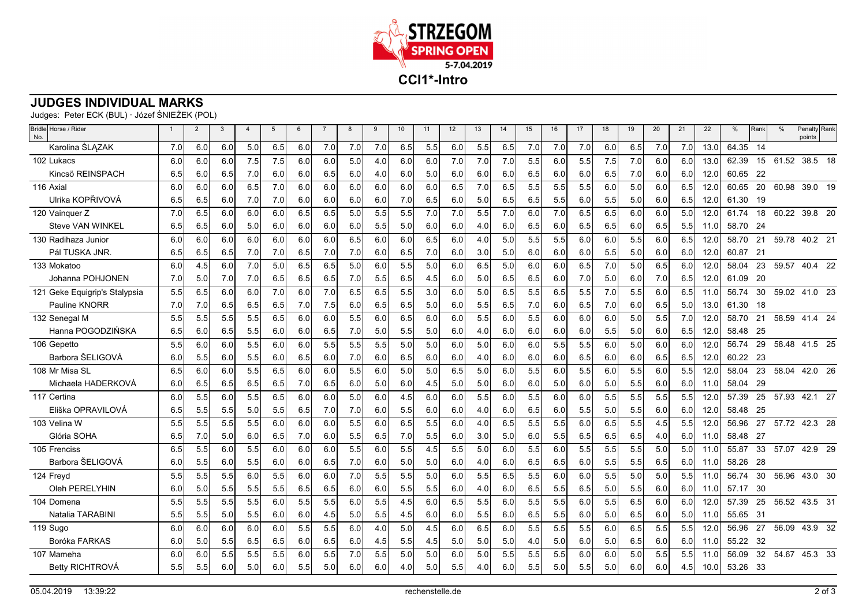

## **JUDGES INDIVIDUAL MARKS**

Judges: Peter ECK (BUL) · Józef ŚNIEŻEK (POL)

| Bridle Horse / Rider<br>No.   | $\overline{1}$ | $\overline{2}$ | 3   | $\overline{4}$ | 5   | 6   | $\overline{7}$ | 8   | 9   | 10  | 11  | 12  | 13  | 14  | 15  | 16  | 17  | 18  | 19      | 20  | 21   | 22   | %     | Rank | $\frac{0}{0}$ | Penalty Rank<br>points |
|-------------------------------|----------------|----------------|-----|----------------|-----|-----|----------------|-----|-----|-----|-----|-----|-----|-----|-----|-----|-----|-----|---------|-----|------|------|-------|------|---------------|------------------------|
| Karolina ŚLĄZAK               | 7.0            | 6.0            | 6.0 | 5.0            | 6.5 | 6.0 | 7.0            | 7.0 | 7.0 | 6.5 | 5.5 | 6.0 | 5.5 | 6.5 | 7.0 | 7.0 | 7.0 | 6.0 | 6.5     | 7.0 | 7.0  | 13.0 | 64.35 | 14   |               |                        |
| 102 Lukacs                    | 6.0            | 6.0            | 6.0 | 7.5            | 7.5 | 6.0 | 6.0            | 5.0 | 4.0 | 6.0 | 6.0 | 7.0 | 7.0 | 7.0 | 5.5 | 6.0 | 5.5 | 7.5 | 7.0     | 6.0 | 6.0  | 13.0 | 62.39 | 15   | 61.52         | 38.5 18                |
| Kincsö REINSPACH              | 6.5            | 6.0            | 6.5 | 7.0            | 6.0 | 6.0 | 6.5            | 6.0 | 4.0 | 6.0 | 5.0 | 6.0 | 6.0 | 6.0 | 6.5 | 6.0 | 6.0 | 6.5 | 7.0     | 6.0 | 6.0I | 12.0 | 60.65 | -22  |               |                        |
| 116 Axial                     | 6.0            | 6.0            | 6.0 | 6.5            | 7.0 | 6.0 | 6.0            | 6.0 | 6.0 | 6.0 | 6.0 | 6.5 | 7.0 | 6.5 | 5.5 | 5.5 | 5.5 | 6.0 | 5.0     | 6.0 | 6.5  | 12.0 | 60.65 | 20   | 60.98         | 39.0 19                |
| Ulrika KOPŘIVOVÁ              | 6.5            | 6.5            | 6.0 | 7.0            | 7.0 | 6.0 | 6.0            | 6.0 | 6.0 | 7.0 | 6.5 | 6.0 | 5.0 | 6.5 | 6.5 | 5.5 | 6.0 | 5.5 | 5.0     | 6.0 | 6.5  | 12.0 | 61.30 | 19   |               |                        |
| 120 Vainquer Z                | 7.0            | 6.5            | 6.0 | 6.0            | 6.0 | 6.5 | 6.5            | 5.0 | 5.5 | 5.5 | 7.0 | 7.0 | 5.5 | 7.0 | 6.0 | 7.0 | 6.5 | 6.5 | 6.0     | 6.0 | 5.0  | 12.0 | 61.74 | 18   | 60.22         | 39.8 20                |
| <b>Steve VAN WINKEL</b>       | 6.5            | 6.51           | 6.0 | 5.0            | 6.0 | 6.0 | 6.0            | 6.0 | 5.5 | 5.0 | 6.0 | 6.0 | 4.0 | 6.0 | 6.5 | 6.0 | 6.5 | 6.5 | 6.0     | 6.5 | 5.5  | 11.0 | 58.70 | -24  |               |                        |
| 130 Radihaza Junior           | 6.0            | 6.0            | 6.0 | 6.0            | 6.0 | 6.0 | 6.0            | 6.5 | 6.0 | 6.0 | 6.5 | 6.0 | 4.0 | 5.0 | 5.5 | 5.5 | 6.0 | 6.0 | 5.5     | 6.0 | 6.5  | 12.0 | 58.70 | 21   | 59.78         | 40.2 21                |
| Pál TUSKA JNR.                | 6.5            | 6.5            | 6.5 | 7.0            | 7.0 | 6.5 | 7.0            | 7.0 | 6.0 | 6.5 | 7.0 | 6.0 | 3.0 | 5.0 | 6.0 | 6.0 | 6.0 | 5.5 | 5.0     | 6.0 | 6.0  | 12.0 | 60.87 | -21  |               |                        |
| 133 Mokatoo                   | 6.0            | 4.5            | 6.0 | 7.0            | 5.0 | 6.5 | 6.5            | 5.0 | 6.0 | 5.5 | 5.0 | 6.0 | 6.5 | 5.0 | 6.0 | 6.0 | 6.5 | 7.0 | 5.0     | 6.5 | 6.0  | 12.0 | 58.04 | 23   | 59.57         | 40.4 22                |
| Johanna POHJONEN              | 7.0            | 5.0            | 7.0 | 7.0            | 6.5 | 6.5 | 6.5            | 7.0 | 5.5 | 6.5 | 4.5 | 6.0 | 5.0 | 6.5 | 6.5 | 6.0 | 7.0 | 5.0 | 6.0     | 7.0 | 6.5  | 12.0 | 61.09 | 20   |               |                        |
| 121 Geke Equigrip's Stalypsia | 5.5            | 6.5            | 6.0 | 6.0            | 7.0 | 6.0 | 7.0            | 6.5 | 6.5 | 5.5 | 3.0 | 6.0 | 5.0 | 6.5 | 5.5 | 6.5 | 5.5 | 7.0 | 5.5     | 6.0 | 6.5  | 11.0 | 56.74 | 30   | 59.02         | 41.0 23                |
| Pauline KNORR                 | 7.0            | 7.0            | 6.5 | 6.5            | 6.5 | 7.0 | 7.5            | 6.0 | 6.5 | 6.5 | 5.0 | 6.0 | 5.5 | 6.5 | 7.0 | 6.0 | 6.5 | 7.0 | 6.0     | 6.5 | 5.01 | 13.0 | 61.30 | -18  |               |                        |
| 132 Senegal M                 | 5.5            | 5.5            | 5.5 | 5.5            | 6.5 | 6.0 | 6.0            | 5.5 | 6.0 | 6.5 | 6.0 | 6.0 | 5.5 | 6.0 | 5.5 | 6.0 | 6.0 | 6.0 | 5.0     | 5.5 | 7.0  | 12.0 | 58.70 | 21   |               | 58.59 41.4 24          |
| Hanna POGODZIŃSKA             | 6.5            | 6.0            | 6.5 | 5.5            | 6.0 | 6.0 | 6.5            | 7.0 | 5.0 | 5.5 | 5.0 | 6.0 | 4.0 | 6.0 | 6.0 | 6.0 | 6.0 | 5.5 | 5.0     | 6.0 | 6.51 | 12.0 | 58.48 | - 25 |               |                        |
| 106 Gepetto                   | 5.5            | 6.0            | 6.0 | 5.5            | 6.0 | 6.0 | 5.5            | 5.5 | 5.5 | 5.0 | 5.0 | 6.0 | 5.0 | 6.0 | 6.0 | 5.5 | 5.5 | 6.0 | 5.0     | 6.0 | 6.0  | 12.0 | 56.74 | 29   | 58.48         | 41.5 25                |
| Barbora ŠELIGOVÁ              | 6.0            | 5.5            | 6.0 | 5.5            | 6.0 | 6.5 | 6.0            | 7.0 | 6.0 | 6.5 | 6.0 | 6.0 | 4.0 | 6.0 | 6.0 | 6.0 | 6.5 | 6.0 | 6.0     | 6.5 | 6.5  | 12.0 | 60.22 | -23  |               |                        |
| 108 Mr Misa SL                | 6.5            | 6.0            | 6.0 | 5.5            | 6.5 | 6.0 | 6.0            | 5.5 | 6.0 | 5.0 | 5.0 | 6.5 | 5.0 | 6.0 | 5.5 | 6.0 | 5.5 | 6.0 | 5.5     | 6.0 | 5.5  | 12.0 | 58.04 | 23   | 58.04         | 42.0 26                |
| Michaela HADERKOVÁ            | 6.0            | 6.5            | 6.5 | 6.5            | 6.5 | 7.0 | 6.5            | 6.0 | 5.0 | 6.0 | 4.5 | 5.0 | 5.0 | 6.0 | 6.0 | 5.0 | 6.0 | 5.0 | 5.5     | 6.0 | 6.01 | 11.0 | 58.04 | 29   |               |                        |
| 117 Certina                   | 6.0            | 5.5            | 6.0 | 5.5            | 6.5 | 6.0 | 6.0            | 5.0 | 6.0 | 4.5 | 6.0 | 6.0 | 5.5 | 6.0 | 5.5 | 6.0 | 6.0 | 5.5 | 5.5     | 5.5 | 5.5  | 12.0 | 57.39 | 25   |               | 57.93 42.1 27          |
| Eliška OPRAVILOVÁ             | 6.5            | 5.5            | 5.5 | 5.0            | 5.5 | 6.5 | 7.0            | 7.0 | 6.0 | 5.5 | 6.0 | 6.0 | 4.0 | 6.0 | 6.5 | 6.0 | 5.5 | 5.0 | 5.5     | 6.0 | 6.01 | 12.0 | 58.48 | -25  |               |                        |
| 103 Velina W                  | 5.5            | 5.5            | 5.5 | 5.5            | 6.0 | 6.0 | 6.0            | 5.5 | 6.0 | 6.5 | 5.5 | 6.0 | 4.0 | 6.5 | 5.5 | 5.5 | 6.0 | 6.5 | 5.5     | 4.5 | 5.5  | 12.0 | 56.96 | 27   | 57.72         | 42.3 28                |
| Glória SOHA                   | 6.5            | 7.0            | 5.0 | 6.0            | 6.5 | 7.0 | 6.0            | 5.5 | 6.5 | 7.0 | 5.5 | 6.0 | 3.0 | 5.0 | 6.0 | 5.5 | 6.5 | 6.5 | 6.5     | 4.0 | 6.0I | 11.0 | 58.48 | - 27 |               |                        |
| 105 Frenciss                  | 6.5            | 5.5            | 6.0 | 5.5            | 6.0 | 6.0 | 6.0            | 5.5 | 6.0 | 5.5 | 4.5 | 5.5 | 5.0 | 6.0 | 5.5 | 6.0 | 5.5 | 5.5 | 5.5     | 5.0 | 5.0  | 11.0 | 55.87 | 33   | 57.07         | 42.9 29                |
| Barbora ŠELIGOVÁ              | 6.0            | 5.5            | 6.0 | 5.5            | 6.0 | 6.0 | 6.5            | 7.0 | 6.0 | 5.0 | 5.0 | 6.0 | 4.0 | 6.0 | 6.5 | 6.5 | 6.0 | 5.5 | $5.5\,$ | 6.5 | 6.01 | 11.0 | 58.26 | 28   |               |                        |
| 124 Frevd                     | 5.5            | 5.5            | 5.5 | 6.0            | 5.5 | 6.0 | 6.0            | 7.0 | 5.5 | 5.5 | 5.0 | 6.0 | 5.5 | 6.5 | 5.5 | 6.0 | 6.0 | 5.5 | 5.0     | 5.0 | 5.5  | 11.0 | 56.74 | 30   | 56.96         | 43.0 30                |
| Oleh PERELYHIN                | 6.0            | 5.0            | 5.5 | 5.5            | 5.5 | 6.5 | 6.5            | 6.0 | 6.0 | 5.5 | 5.5 | 6.0 | 4.0 | 6.0 | 6.5 | 5.5 | 6.5 | 5.0 | 5.5     | 6.0 | 6.01 | 11.0 | 57.17 | -30  |               |                        |
| 104 Domena                    | 5.5            | 5.5            | 5.5 | 5.5            | 6.0 | 5.5 | 5.5            | 6.0 | 5.5 | 4.5 | 6.0 | 6.5 | 5.5 | 6.0 | 5.5 | 5.5 | 6.0 | 5.5 | 6.5     | 6.0 | 6.0  | 12.0 | 57.39 | 25   | 56.52         | 43.5 31                |
| Natalia TARABINI              | 5.5            | 5.5            | 5.0 | 5.5            | 6.0 | 6.0 | 4.5            | 5.0 | 5.5 | 4.5 | 6.0 | 6.0 | 5.5 | 6.0 | 6.5 | 5.5 | 6.0 | 5.0 | 6.5     | 6.0 | 5.0  | 11.0 | 55.65 | -31  |               |                        |
| 119 Sugo                      | 6.0            | 6.0            | 6.0 | 6.0            | 6.0 | 5.5 | 5.5            | 6.0 | 4.0 | 5.0 | 4.5 | 6.0 | 6.5 | 6.0 | 5.5 | 5.5 | 5.5 | 6.0 | 6.5     | 5.5 | 5.5  | 12.0 | 56.96 | 27   | 56.09         | 43.9 32                |
| Boróka FARKAS                 | 6.0            | 5.0            | 5.5 | 6.5            | 6.5 | 6.0 | 6.5            | 6.0 | 4.5 | 5.5 | 4.5 | 5.0 | 5.0 | 5.0 | 4.0 | 5.0 | 6.0 | 5.0 | 6.5     | 6.0 | 6.01 | 11.0 | 55.22 | -32  |               |                        |
| 107 Mameha                    | 6.0            | 6.0            | 5.5 | 5.5            | 5.5 | 6.0 | 5.5            | 7.0 | 5.5 | 5.0 | 5.0 | 6.0 | 5.0 | 5.5 | 5.5 | 5.5 | 6.0 | 6.0 | 5.0     | 5.5 | 5.5  | 11.0 | 56.09 | 32   |               | 54.67 45.3 33          |
| Betty RICHTROVÁ               | 5.5            | 5.5            | 6.0 | 5.0            | 6.0 | 5.5 | 5.0            | 6.0 | 6.0 | 4.0 | 5.0 | 5.5 | 4.0 | 6.0 | 5.5 | 5.0 | 5.5 | 5.0 | 6.0     | 6.0 | 4.5  | 10.0 | 53.26 | - 33 |               |                        |